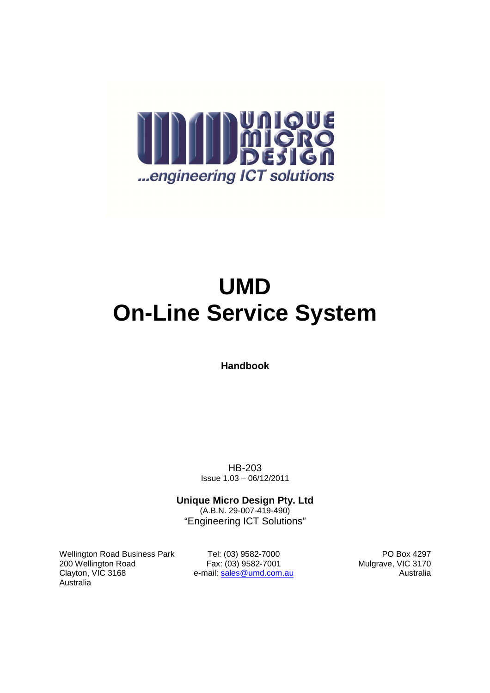

# **UMD On-Line Service System**

**Handbook** 

HB-203 Issue 1.03 – 06/12/2011

#### **Unique Micro Design Pty. Ltd**

(A.B.N. 29-007-419-490) "Engineering ICT Solutions"

Wellington Road Business Park 200 Wellington Road Clayton, VIC 3168 Australia

Tel: (03) 9582-7000 Fax: (03) 9582-7001 e-mail: sales@umd.com.au

PO Box 4297 Mulgrave, VIC 3170 Australia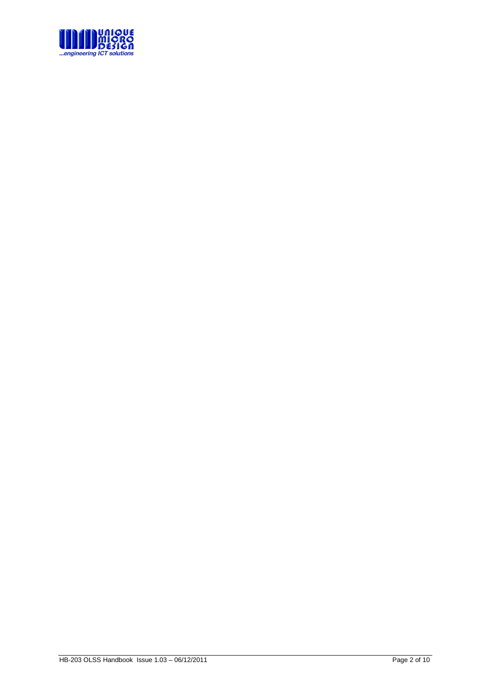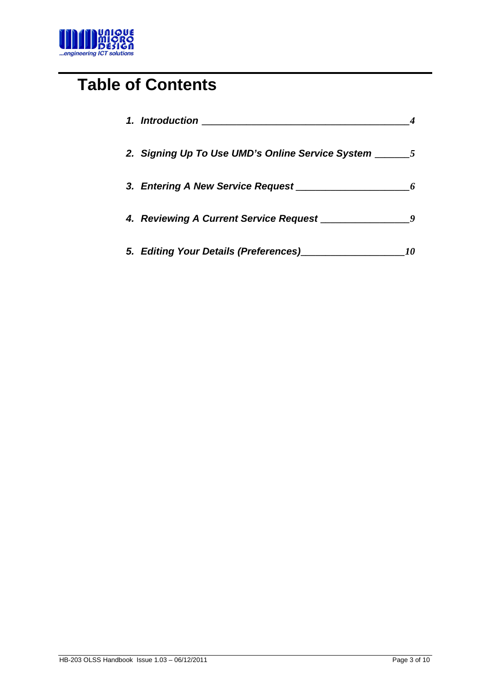

## **Table of Contents**

| 1. Introduction                                                                   |  |
|-----------------------------------------------------------------------------------|--|
| 2. Signing Up To Use UMD's Online Service System ________________________________ |  |
| 3. Entering A New Service Request                                                 |  |
| 4. Reviewing A Current Service Request                                            |  |
| 5. Editing Your Details (Preferences)___________                                  |  |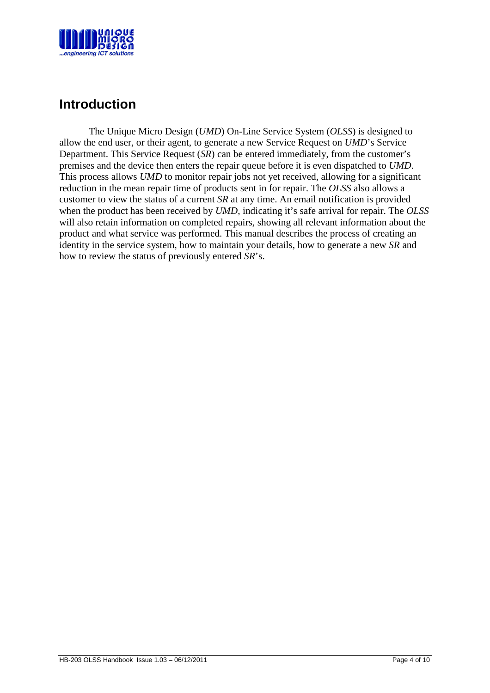

#### **Introduction**

 The Unique Micro Design (*UMD*) On-Line Service System (*OLSS*) is designed to allow the end user, or their agent, to generate a new Service Request on *UMD*'s Service Department. This Service Request (*SR*) can be entered immediately, from the customer's premises and the device then enters the repair queue before it is even dispatched to *UMD*. This process allows *UMD* to monitor repair jobs not yet received, allowing for a significant reduction in the mean repair time of products sent in for repair. The *OLSS* also allows a customer to view the status of a current *SR* at any time. An email notification is provided when the product has been received by *UMD*, indicating it's safe arrival for repair. The *OLSS* will also retain information on completed repairs, showing all relevant information about the product and what service was performed. This manual describes the process of creating an identity in the service system, how to maintain your details, how to generate a new *SR* and how to review the status of previously entered *SR*'s.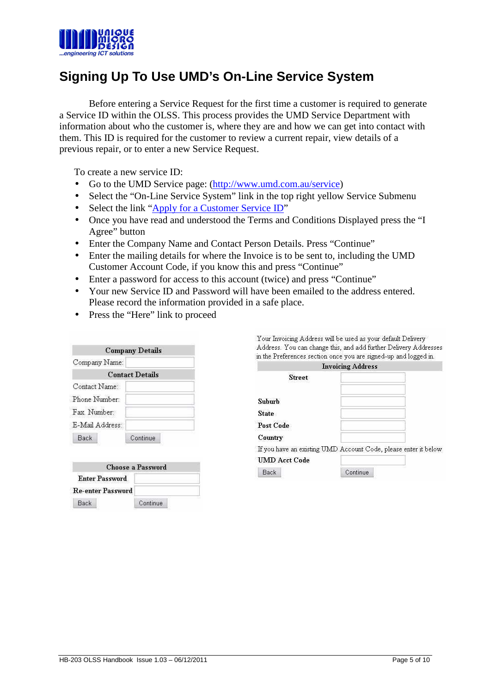

## **Signing Up To Use UMD's On-Line Service System**

 Before entering a Service Request for the first time a customer is required to generate a Service ID within the OLSS. This process provides the UMD Service Department with information about who the customer is, where they are and how we can get into contact with them. This ID is required for the customer to review a current repair, view details of a previous repair, or to enter a new Service Request.

To create a new service ID:

- Go to the UMD Service page: (http://www.umd.com.au/service)
- Select the "On-Line Service System" link in the top right yellow Service Submenu
- Select the link "Apply for a Customer Service ID"
- Once you have read and understood the Terms and Conditions Displayed press the "I Agree" button
- Enter the Company Name and Contact Person Details. Press "Continue"
- Enter the mailing details for where the Invoice is to be sent to, including the UMD Customer Account Code, if you know this and press "Continue"
- Enter a password for access to this account (twice) and press "Continue"
- Your new Service ID and Password will have been emailed to the address entered. Please record the information provided in a safe place.
- Press the "Here" link to proceed

| Company Name:   |                        |
|-----------------|------------------------|
|                 | <b>Contact Details</b> |
| Contact Name:   |                        |
| Phone Number    |                        |
| Fax Number      |                        |
| E-Mail Address: |                        |
| <b>Back</b>     | Continue               |

|                          | <b>Choose a Password</b> |  |
|--------------------------|--------------------------|--|
| <b>Enter Password</b>    |                          |  |
| <b>Re-enter Password</b> |                          |  |
| Back                     | Continue                 |  |

Your Invoicing Address will be used as your default Delivery Address. You can change this, and add further Delivery Addresses in the Preferences section once you are signed-up and logged in.

|                      | <b>Invoicing Address</b>                                        |
|----------------------|-----------------------------------------------------------------|
| Street               |                                                                 |
| Suburb               |                                                                 |
| <b>State</b>         |                                                                 |
| Post Code            |                                                                 |
| Country              |                                                                 |
|                      | If you have an existing UMD Account Code, please enter it below |
| <b>UMD</b> Acct Code |                                                                 |
| Back                 | Continue                                                        |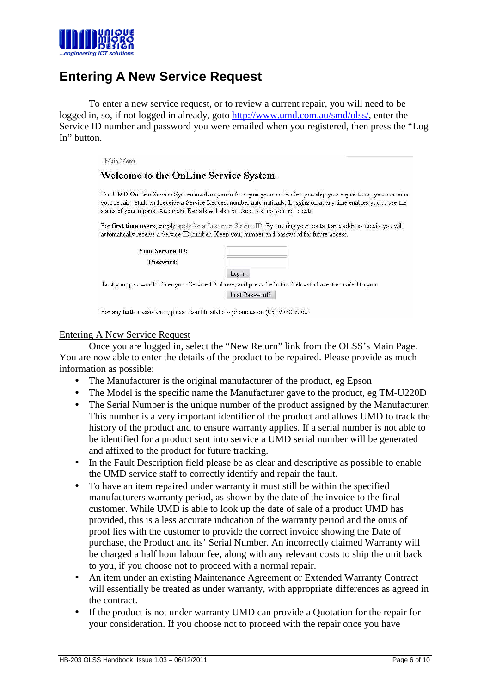

## **Entering A New Service Request**

 To enter a new service request, or to review a current repair, you will need to be logged in, so, if not logged in already, goto http://www.umd.com.au/smd/olss/, enter the Service ID number and password you were emailed when you registered, then press the "Log In" button.

Main Menu

#### Welcome to the OnLine Service System.

The UMD On Line Service System involves you in the repair process. Before you ship your repair to us, you can enter your repair details and receive a Service Request number automatically. Logging on at any time enables you to see the status of your repairs. Automatic E-mails will also be used to keep you up to date.

For first time users, simply apply for a Customer Service ID. By entering your contact and address details you will automatically receive a Service ID number. Keep your number and password for future access.

> Your Service ID: Password:

| Log In |  |  |
|--------|--|--|

Lost your password? Enter your Service ID above, and press the button below to have it e-mailed to you. Lost Password?

For any further assistance, please don't hesitate to phone us on (03) 9582 7060

#### Entering A New Service Request

 Once you are logged in, select the "New Return" link from the OLSS's Main Page. You are now able to enter the details of the product to be repaired. Please provide as much information as possible:

- The Manufacturer is the original manufacturer of the product, eg Epson
- The Model is the specific name the Manufacturer gave to the product, eg TM-U220D
- The Serial Number is the unique number of the product assigned by the Manufacturer. This number is a very important identifier of the product and allows UMD to track the history of the product and to ensure warranty applies. If a serial number is not able to be identified for a product sent into service a UMD serial number will be generated and affixed to the product for future tracking.
- In the Fault Description field please be as clear and descriptive as possible to enable the UMD service staff to correctly identify and repair the fault.
- To have an item repaired under warranty it must still be within the specified manufacturers warranty period, as shown by the date of the invoice to the final customer. While UMD is able to look up the date of sale of a product UMD has provided, this is a less accurate indication of the warranty period and the onus of proof lies with the customer to provide the correct invoice showing the Date of purchase, the Product and its' Serial Number. An incorrectly claimed Warranty will be charged a half hour labour fee, along with any relevant costs to ship the unit back to you, if you choose not to proceed with a normal repair.
- An item under an existing Maintenance Agreement or Extended Warranty Contract will essentially be treated as under warranty, with appropriate differences as agreed in the contract.
- If the product is not under warranty UMD can provide a Quotation for the repair for your consideration. If you choose not to proceed with the repair once you have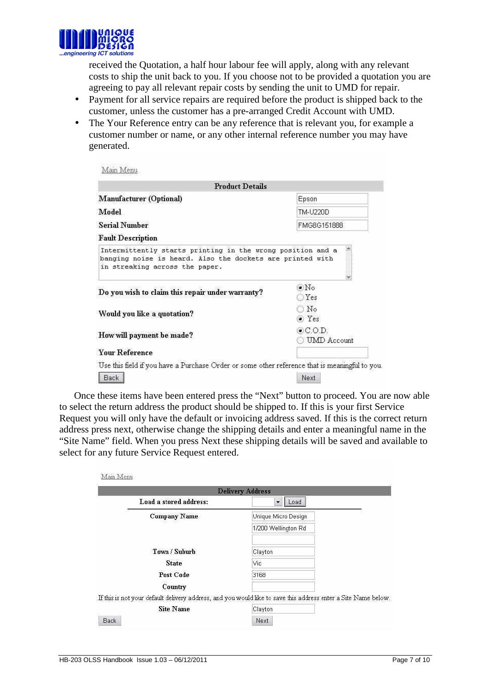

received the Quotation, a half hour labour fee will apply, along with any relevant costs to ship the unit back to you. If you choose not to be provided a quotation you are agreeing to pay all relevant repair costs by sending the unit to UMD for repair.

- Payment for all service repairs are required before the product is shipped back to the customer, unless the customer has a pre-arranged Credit Account with UMD.
- The Your Reference entry can be any reference that is relevant you, for example a customer number or name, or any other internal reference number you may have generated.

| <b>Product Details</b>                                                                                                                          |                                              |
|-------------------------------------------------------------------------------------------------------------------------------------------------|----------------------------------------------|
| Manufacturer (Optional)                                                                                                                         | Epson                                        |
| Model                                                                                                                                           | TM-U220D                                     |
| <b>Serial Number</b>                                                                                                                            | FMG8G151888                                  |
| <b>Fault Description</b>                                                                                                                        |                                              |
| banging noise is heard. Also the dockets are printed with<br>in streaking across the paper.<br>Do you wish to claim this repair under warranty? | $\bullet$ No<br>Yes                          |
| Would you like a quotation?                                                                                                                     | $\mathcal{N}_{\mathcal{O}}$<br>$\bullet$ Yes |
| How will payment be made?                                                                                                                       | $\bullet$ C.O.D.<br><b>UMD</b> Account       |
| <b>Your Reference</b>                                                                                                                           |                                              |
| Use this field if you have a Purchase Order or some other reference that is meaningful to you.                                                  |                                              |
| Back                                                                                                                                            | Next                                         |

Once these items have been entered press the "Next" button to proceed. You are now able to select the return address the product should be shipped to. If this is your first Service Request you will only have the default or invoicing address saved. If this is the correct return address press next, otherwise change the shipping details and enter a meaningful name in the "Site Name" field. When you press Next these shipping details will be saved and available to select for any future Service Request entered.

|                                                                                                                | <b>Delivery Address</b>         |  |
|----------------------------------------------------------------------------------------------------------------|---------------------------------|--|
| Load a stored address:                                                                                         | Load<br>$\overline{\mathbf{v}}$ |  |
| <b>Company Name</b>                                                                                            | Unique Micro Design             |  |
|                                                                                                                | 1/200 Wellington Rd             |  |
| Town / Suburb                                                                                                  | Clayton                         |  |
| <b>State</b>                                                                                                   | Vic                             |  |
| <b>Post Code</b>                                                                                               | 3168                            |  |
| Country                                                                                                        |                                 |  |
| If this is not your default delivery address, and you would like to save this address enter a Site Name below. |                                 |  |
| <b>Site Name</b>                                                                                               | Clayton                         |  |
| <b>Back</b>                                                                                                    | Next                            |  |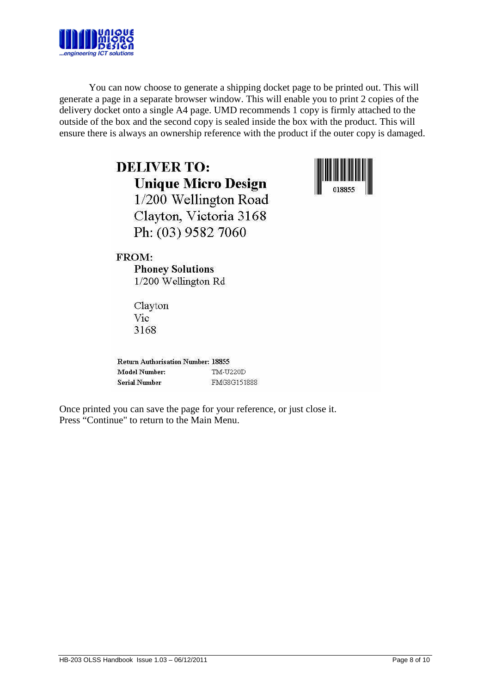

 You can now choose to generate a shipping docket page to be printed out. This will generate a page in a separate browser window. This will enable you to print 2 copies of the delivery docket onto a single A4 page. UMD recommends 1 copy is firmly attached to the outside of the box and the second copy is sealed inside the box with the product. This will ensure there is always an ownership reference with the product if the outer copy is damaged.

> DELIVER TO: **Unique Micro Design** 1/200 Wellington Road Clayton, Victoria 3168 Ph: (03) 9582 7060



FROM:

**Phoney Solutions** 1/200 Wellington Rd

Clayton Vic 3168

Return Authorisation Number: 18855 Model Number: TM-U220D **Serial Number** FMG8G151888

Once printed you can save the page for your reference, or just close it. Press "Continue" to return to the Main Menu.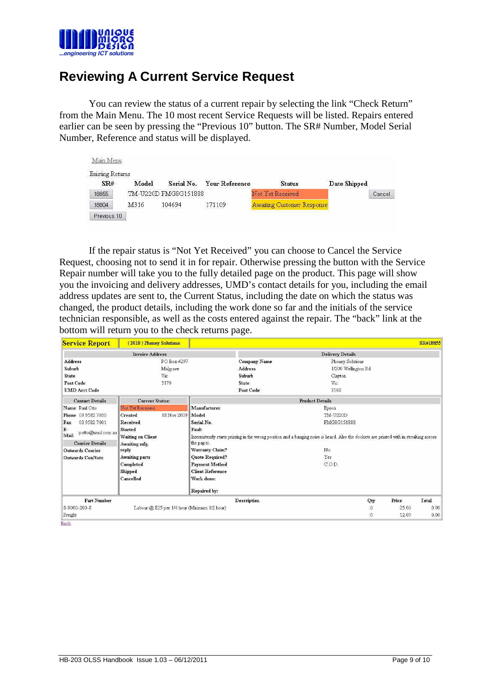

### **Reviewing A Current Service Request**

 You can review the status of a current repair by selecting the link "Check Return" from the Main Menu. The 10 most recent Service Requests will be listed. Repairs entered earlier can be seen by pressing the "Previous 10" button. The SR# Number, Model Serial Number, Reference and status will be displayed.

| Main Menu        |       |                      |                       |                            |                     |        |
|------------------|-------|----------------------|-----------------------|----------------------------|---------------------|--------|
| Existing Returns |       |                      |                       |                            |                     |        |
| SR#              | Model | Serial No.           | <b>Your Reference</b> | <b>Status</b>              | <b>Date Shipped</b> |        |
| 18855            |       | TM-U220D FMG8G151888 |                       | Not Yet Received           |                     | Cancel |
| 18804            | M316  | 104694               | 171109                | Awaiting Customer Response |                     |        |
| Previous 10      |       |                      |                       |                            |                     |        |

If the repair status is "Not Yet Received" you can choose to Cancel the Service Request, choosing not to send it in for repair. Otherwise pressing the button with the Service Repair number will take you to the fully detailed page on the product. This page will show you the invoicing and delivery addresses, UMD's contact details for you, including the email address updates are sent to, the Current Status, including the date on which the status was changed, the product details, including the work done so far and the initials of the service technician responsible, as well as the costs entered against the repair. The "back" link at the bottom will return you to the check returns page.

| <b>Service Report</b>         | (2018) Phoney Solutions |             |                                               |                     |                                                                                                                                          |          |       | SR#18855 |
|-------------------------------|-------------------------|-------------|-----------------------------------------------|---------------------|------------------------------------------------------------------------------------------------------------------------------------------|----------|-------|----------|
| <b>Invoice Address</b>        |                         |             | <b>Delivery Details</b>                       |                     |                                                                                                                                          |          |       |          |
| <b>Address</b>                |                         | PO Box 4297 |                                               | <b>Company Name</b> | Phoney Solutions                                                                                                                         |          |       |          |
| Suburb                        |                         | Mulgrave    |                                               | <b>Address</b>      | 1/200 Wellington Rd                                                                                                                      |          |       |          |
| <b>State</b>                  |                         | Vic         |                                               | Suburb              | Clayton                                                                                                                                  |          |       |          |
| <b>Post Code</b>              |                         | 3170        |                                               | <b>State</b>        | Vic                                                                                                                                      |          |       |          |
| <b>UMD</b> Acct Code          |                         |             |                                               | <b>Post Code</b>    | 3168                                                                                                                                     |          |       |          |
| <b>Contact Details</b>        | <b>Current Status:</b>  |             |                                               |                     | <b>Product Details</b>                                                                                                                   |          |       |          |
| Name Paul Otto                | Not Yet Received        |             | Manufacturer                                  |                     | Epson                                                                                                                                    |          |       |          |
| Phone 03 9582 7050            | Created                 | 18 Nov 2009 | Model                                         |                     | TM-U220D                                                                                                                                 |          |       |          |
| 03 9582 7001<br>Fax           | Received                |             | Serial No.                                    |                     | FMG8G151888                                                                                                                              |          |       |          |
| ${\bf E}$<br>potto@umd.com.au | <b>Started</b>          |             | Fault                                         |                     |                                                                                                                                          |          |       |          |
| Mail                          | Waiting on Client       |             |                                               |                     | Intermittently starts printing in the wrong position and a banging noise is heard. Also the dockets are printed with in streaking across |          |       |          |
| <b>Courier Details</b>        | Awaiting mfg.           |             | the paper.                                    |                     |                                                                                                                                          |          |       |          |
| Outwards Courier              | reply                   |             | Warranty Claim?                               |                     | No                                                                                                                                       |          |       |          |
| <b>Outwards ConNote</b>       | Awaiting parts          |             | Quote Required?                               |                     | Yes                                                                                                                                      |          |       |          |
|                               | Completed               |             | Payment Method                                |                     | C.O.D.                                                                                                                                   |          |       |          |
|                               | Shipped                 |             | <b>Client Reference</b>                       |                     |                                                                                                                                          |          |       |          |
|                               | Cancelled               |             | Work done:                                    |                     |                                                                                                                                          |          |       |          |
|                               |                         |             | Repaired by:                                  |                     |                                                                                                                                          |          |       |          |
| <b>Part Number</b>            |                         |             |                                               | Description         |                                                                                                                                          | Qty      | Price | Total    |
| 8-9000-200-8                  |                         |             | Labour @ \$25 per 1/4 hour (Minimum 1/2 hour) |                     |                                                                                                                                          | $\theta$ | 25.00 | 0.00     |
| Freight                       |                         |             |                                               |                     |                                                                                                                                          | $\theta$ | 12.00 | 0.00     |
| <b>Back</b>                   |                         |             |                                               |                     |                                                                                                                                          |          |       |          |